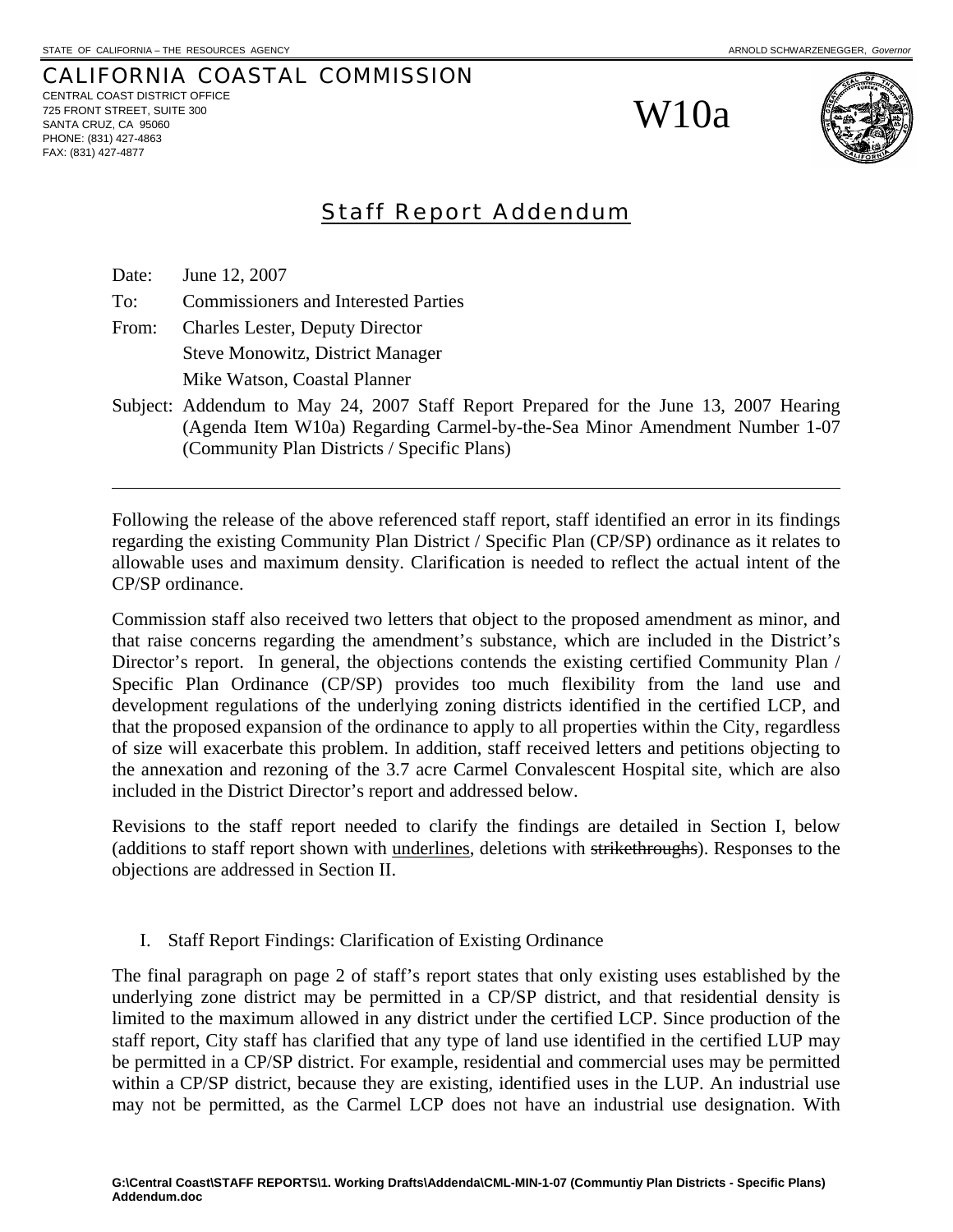CALIFORNIA COASTAL COMMISSION CENTRAL COAST DISTRICT OFFICE 725 FRONT STREET, SUITE 300 SANTA CRUZ, CA 95060 PHONE: (831) 427-4863 FAX: (831) 427-4877

W10a



# Staff Report Addendum

Date: June 12, 2007

l

To: Commissioners and Interested Parties

From: Charles Lester, Deputy Director Steve Monowitz, District Manager Mike Watson, Coastal Planner

Subject: Addendum to May 24, 2007 Staff Report Prepared for the June 13, 2007 Hearing (Agenda Item W10a) Regarding Carmel-by-the-Sea Minor Amendment Number 1-07 (Community Plan Districts / Specific Plans)

Following the release of the above referenced staff report, staff identified an error in its findings regarding the existing Community Plan District / Specific Plan (CP/SP) ordinance as it relates to allowable uses and maximum density. Clarification is needed to reflect the actual intent of the CP/SP ordinance.

Commission staff also received two letters that object to the proposed amendment as minor, and that raise concerns regarding the amendment's substance, which are included in the District's Director's report. In general, the objections contends the existing certified Community Plan / Specific Plan Ordinance (CP/SP) provides too much flexibility from the land use and development regulations of the underlying zoning districts identified in the certified LCP, and that the proposed expansion of the ordinance to apply to all properties within the City, regardless of size will exacerbate this problem. In addition, staff received letters and petitions objecting to the annexation and rezoning of the 3.7 acre Carmel Convalescent Hospital site, which are also included in the District Director's report and addressed below.

Revisions to the staff report needed to clarify the findings are detailed in Section I, below (additions to staff report shown with underlines, deletions with strikethroughs). Responses to the objections are addressed in Section II.

# I. Staff Report Findings: Clarification of Existing Ordinance

The final paragraph on page 2 of staff's report states that only existing uses established by the underlying zone district may be permitted in a CP/SP district, and that residential density is limited to the maximum allowed in any district under the certified LCP. Since production of the staff report, City staff has clarified that any type of land use identified in the certified LUP may be permitted in a CP/SP district. For example, residential and commercial uses may be permitted within a CP/SP district, because they are existing, identified uses in the LUP. An industrial use may not be permitted, as the Carmel LCP does not have an industrial use designation. With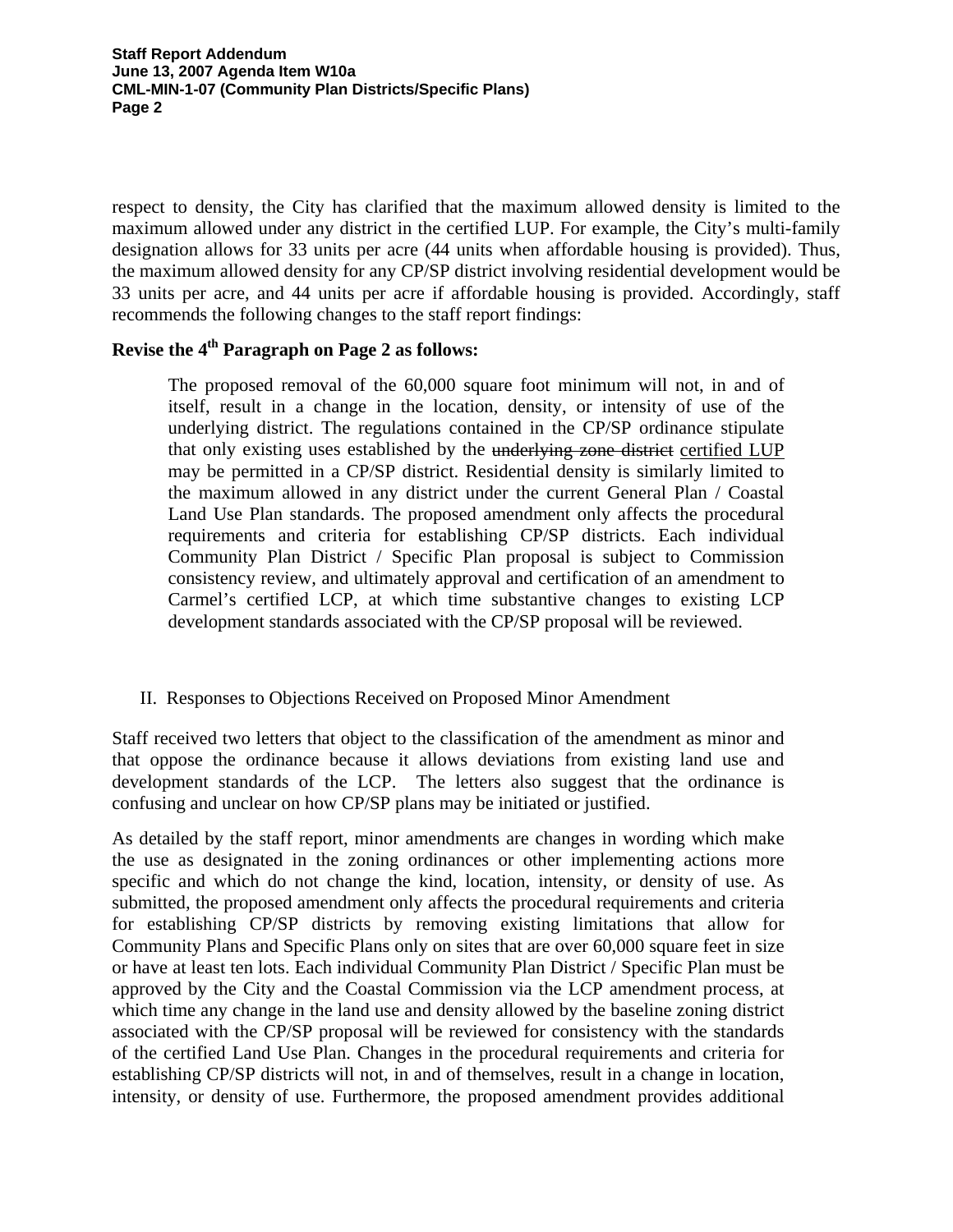**Staff Report Addendum June 13, 2007 Agenda Item W10a CML-MIN-1-07 (Community Plan Districts/Specific Plans) Page 2** 

respect to density, the City has clarified that the maximum allowed density is limited to the maximum allowed under any district in the certified LUP. For example, the City's multi-family designation allows for 33 units per acre (44 units when affordable housing is provided). Thus, the maximum allowed density for any CP/SP district involving residential development would be 33 units per acre, and 44 units per acre if affordable housing is provided. Accordingly, staff recommends the following changes to the staff report findings:

# **Revise the 4th Paragraph on Page 2 as follows:**

The proposed removal of the 60,000 square foot minimum will not, in and of itself, result in a change in the location, density, or intensity of use of the underlying district. The regulations contained in the CP/SP ordinance stipulate that only existing uses established by the underlying zone district certified LUP may be permitted in a CP/SP district. Residential density is similarly limited to the maximum allowed in any district under the current General Plan / Coastal Land Use Plan standards. The proposed amendment only affects the procedural requirements and criteria for establishing CP/SP districts. Each individual Community Plan District / Specific Plan proposal is subject to Commission consistency review, and ultimately approval and certification of an amendment to Carmel's certified LCP, at which time substantive changes to existing LCP development standards associated with the CP/SP proposal will be reviewed.

# II. Responses to Objections Received on Proposed Minor Amendment

Staff received two letters that object to the classification of the amendment as minor and that oppose the ordinance because it allows deviations from existing land use and development standards of the LCP. The letters also suggest that the ordinance is confusing and unclear on how CP/SP plans may be initiated or justified.

As detailed by the staff report, minor amendments are changes in wording which make the use as designated in the zoning ordinances or other implementing actions more specific and which do not change the kind, location, intensity, or density of use. As submitted, the proposed amendment only affects the procedural requirements and criteria for establishing CP/SP districts by removing existing limitations that allow for Community Plans and Specific Plans only on sites that are over 60,000 square feet in size or have at least ten lots. Each individual Community Plan District / Specific Plan must be approved by the City and the Coastal Commission via the LCP amendment process, at which time any change in the land use and density allowed by the baseline zoning district associated with the CP/SP proposal will be reviewed for consistency with the standards of the certified Land Use Plan. Changes in the procedural requirements and criteria for establishing CP/SP districts will not, in and of themselves, result in a change in location, intensity, or density of use. Furthermore, the proposed amendment provides additional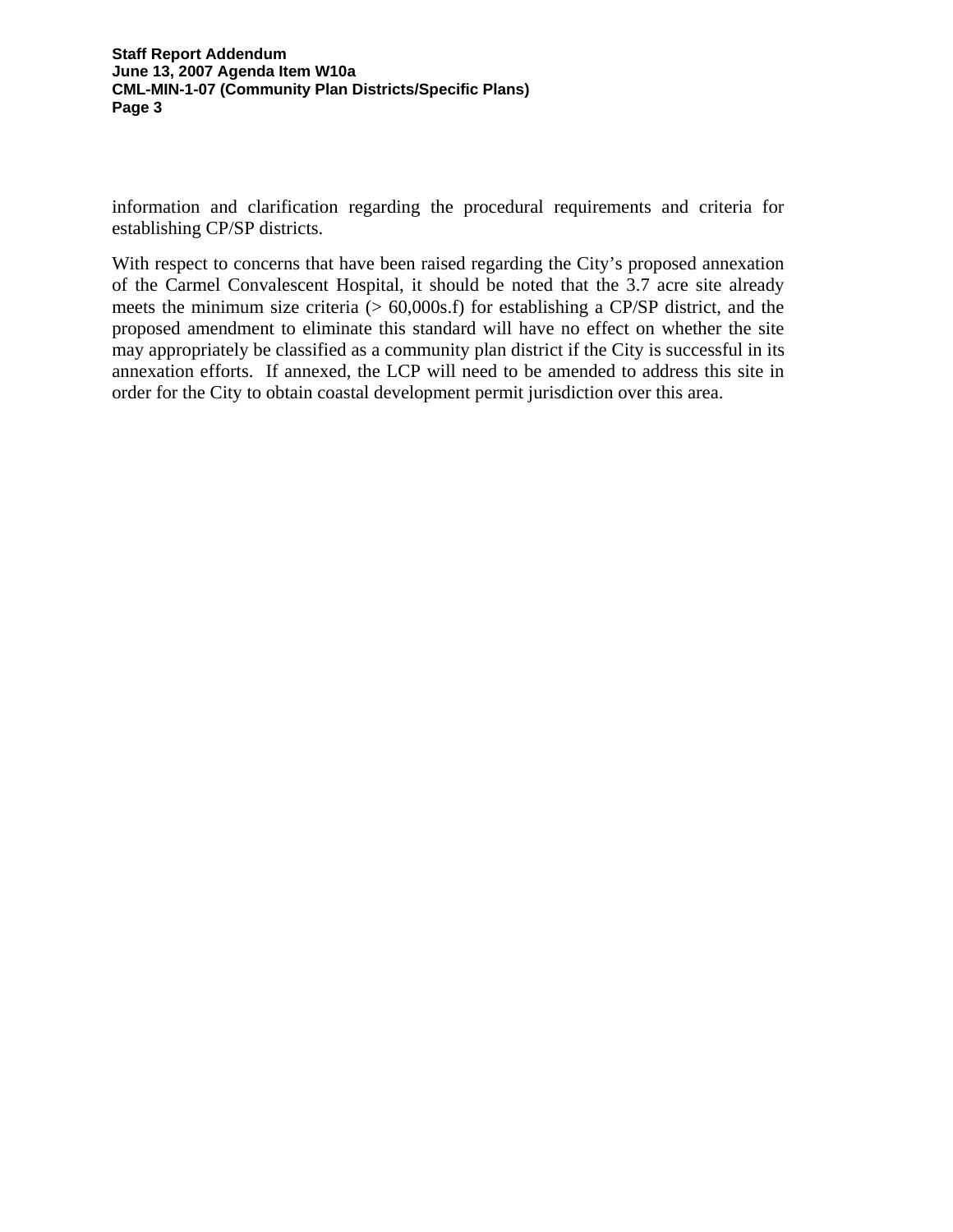#### **Staff Report Addendum June 13, 2007 Agenda Item W10a CML-MIN-1-07 (Community Plan Districts/Specific Plans) Page 3**

information and clarification regarding the procedural requirements and criteria for establishing CP/SP districts.

With respect to concerns that have been raised regarding the City's proposed annexation of the Carmel Convalescent Hospital, it should be noted that the 3.7 acre site already meets the minimum size criteria  $(> 60,000s.f)$  for establishing a CP/SP district, and the proposed amendment to eliminate this standard will have no effect on whether the site may appropriately be classified as a community plan district if the City is successful in its annexation efforts. If annexed, the LCP will need to be amended to address this site in order for the City to obtain coastal development permit jurisdiction over this area.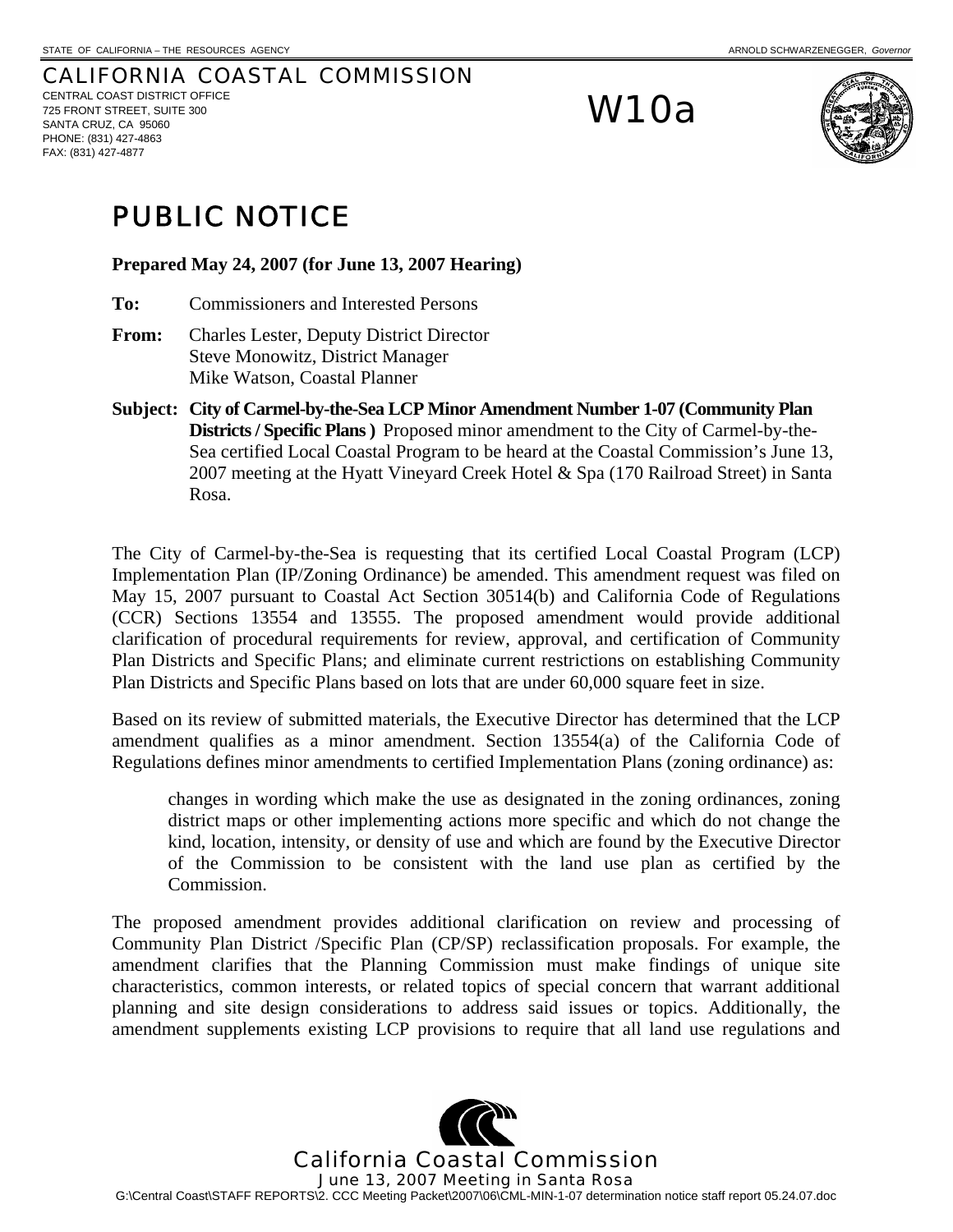#### CALIFORNIA COASTAL COMMISSION CENTRAL COAST DISTRICT OFFICE 725 FRONT STREET, SUITE 300 SANTA CRUZ, CA 95060 PHONE: (831) 427-4863 FAX: (831) 427-4877

# W10a



# PUBLIC NOTICE

**Prepared May 24, 2007 (for June 13, 2007 Hearing)** 

- **To:** Commissioners and Interested Persons
- **From:** Charles Lester, Deputy District Director Steve Monowitz, District Manager Mike Watson, Coastal Planner
- **Subject: City of Carmel-by-the-Sea LCP Minor Amendment Number 1-07 (Community Plan Districts / Specific Plans )** Proposed minor amendment to the City of Carmel-by-the-Sea certified Local Coastal Program to be heard at the Coastal Commission's June 13, 2007 meeting at the Hyatt Vineyard Creek Hotel & Spa (170 Railroad Street) in Santa Rosa.

The City of Carmel-by-the-Sea is requesting that its certified Local Coastal Program (LCP) Implementation Plan (IP/Zoning Ordinance) be amended. This amendment request was filed on May 15, 2007 pursuant to Coastal Act Section 30514(b) and California Code of Regulations (CCR) Sections 13554 and 13555. The proposed amendment would provide additional clarification of procedural requirements for review, approval, and certification of Community Plan Districts and Specific Plans; and eliminate current restrictions on establishing Community Plan Districts and Specific Plans based on lots that are under 60,000 square feet in size.

Based on its review of submitted materials, the Executive Director has determined that the LCP amendment qualifies as a minor amendment. Section 13554(a) of the California Code of Regulations defines minor amendments to certified Implementation Plans (zoning ordinance) as:

changes in wording which make the use as designated in the zoning ordinances, zoning district maps or other implementing actions more specific and which do not change the kind, location, intensity, or density of use and which are found by the Executive Director of the Commission to be consistent with the land use plan as certified by the Commission.

The proposed amendment provides additional clarification on review and processing of Community Plan District /Specific Plan (CP/SP) reclassification proposals. For example, the amendment clarifies that the Planning Commission must make findings of unique site characteristics, common interests, or related topics of special concern that warrant additional planning and site design considerations to address said issues or topics. Additionally, the amendment supplements existing LCP provisions to require that all land use regulations and

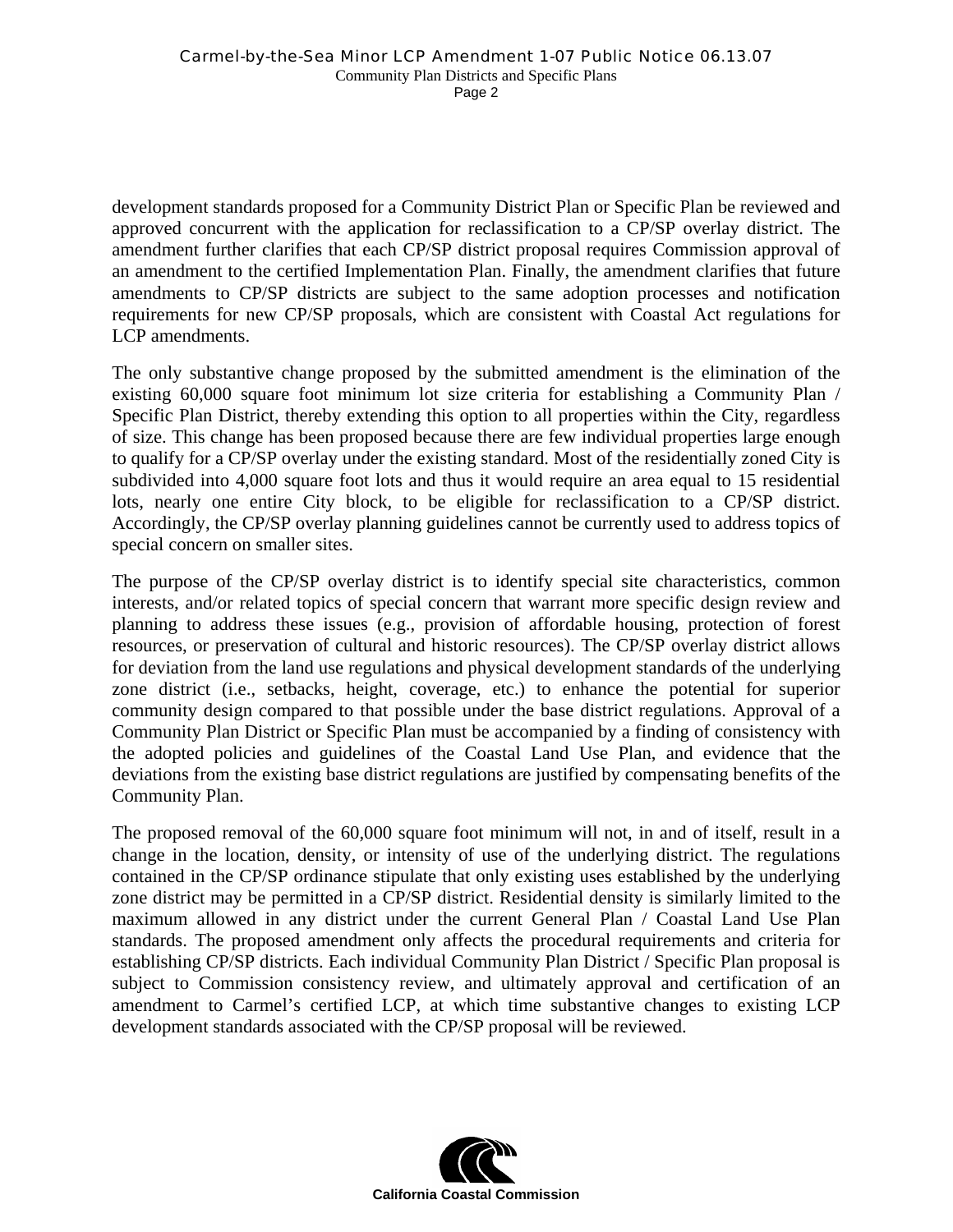development standards proposed for a Community District Plan or Specific Plan be reviewed and approved concurrent with the application for reclassification to a CP/SP overlay district. The amendment further clarifies that each CP/SP district proposal requires Commission approval of an amendment to the certified Implementation Plan. Finally, the amendment clarifies that future amendments to CP/SP districts are subject to the same adoption processes and notification requirements for new CP/SP proposals, which are consistent with Coastal Act regulations for LCP amendments.

The only substantive change proposed by the submitted amendment is the elimination of the existing 60,000 square foot minimum lot size criteria for establishing a Community Plan / Specific Plan District, thereby extending this option to all properties within the City, regardless of size. This change has been proposed because there are few individual properties large enough to qualify for a CP/SP overlay under the existing standard. Most of the residentially zoned City is subdivided into 4,000 square foot lots and thus it would require an area equal to 15 residential lots, nearly one entire City block, to be eligible for reclassification to a CP/SP district. Accordingly, the CP/SP overlay planning guidelines cannot be currently used to address topics of special concern on smaller sites.

The purpose of the CP/SP overlay district is to identify special site characteristics, common interests, and/or related topics of special concern that warrant more specific design review and planning to address these issues (e.g., provision of affordable housing, protection of forest resources, or preservation of cultural and historic resources). The CP/SP overlay district allows for deviation from the land use regulations and physical development standards of the underlying zone district (i.e., setbacks, height, coverage, etc.) to enhance the potential for superior community design compared to that possible under the base district regulations. Approval of a Community Plan District or Specific Plan must be accompanied by a finding of consistency with the adopted policies and guidelines of the Coastal Land Use Plan, and evidence that the deviations from the existing base district regulations are justified by compensating benefits of the Community Plan.

The proposed removal of the 60,000 square foot minimum will not, in and of itself, result in a change in the location, density, or intensity of use of the underlying district. The regulations contained in the CP/SP ordinance stipulate that only existing uses established by the underlying zone district may be permitted in a CP/SP district. Residential density is similarly limited to the maximum allowed in any district under the current General Plan / Coastal Land Use Plan standards. The proposed amendment only affects the procedural requirements and criteria for establishing CP/SP districts. Each individual Community Plan District / Specific Plan proposal is subject to Commission consistency review, and ultimately approval and certification of an amendment to Carmel's certified LCP, at which time substantive changes to existing LCP development standards associated with the CP/SP proposal will be reviewed.

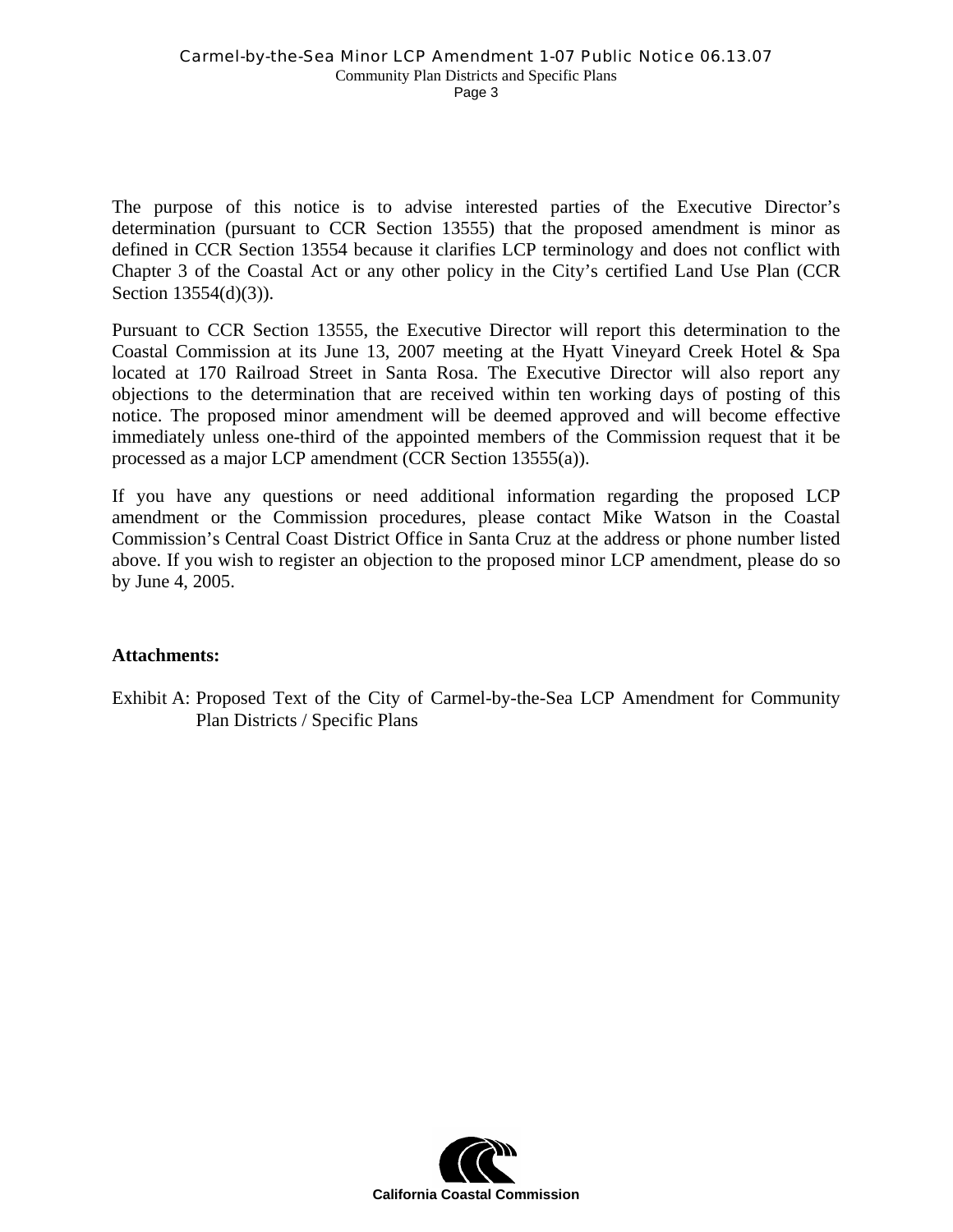Page 3

The purpose of this notice is to advise interested parties of the Executive Director's determination (pursuant to CCR Section 13555) that the proposed amendment is minor as defined in CCR Section 13554 because it clarifies LCP terminology and does not conflict with Chapter 3 of the Coastal Act or any other policy in the City's certified Land Use Plan (CCR Section 13554(d)(3)).

Pursuant to CCR Section 13555, the Executive Director will report this determination to the Coastal Commission at its June 13, 2007 meeting at the Hyatt Vineyard Creek Hotel & Spa located at 170 Railroad Street in Santa Rosa. The Executive Director will also report any objections to the determination that are received within ten working days of posting of this notice. The proposed minor amendment will be deemed approved and will become effective immediately unless one-third of the appointed members of the Commission request that it be processed as a major LCP amendment (CCR Section 13555(a)).

If you have any questions or need additional information regarding the proposed LCP amendment or the Commission procedures, please contact Mike Watson in the Coastal Commission's Central Coast District Office in Santa Cruz at the address or phone number listed above. If you wish to register an objection to the proposed minor LCP amendment, please do so by June 4, 2005.

# **Attachments:**

Exhibit A: Proposed Text of the City of Carmel-by-the-Sea LCP Amendment for Community Plan Districts / Specific Plans

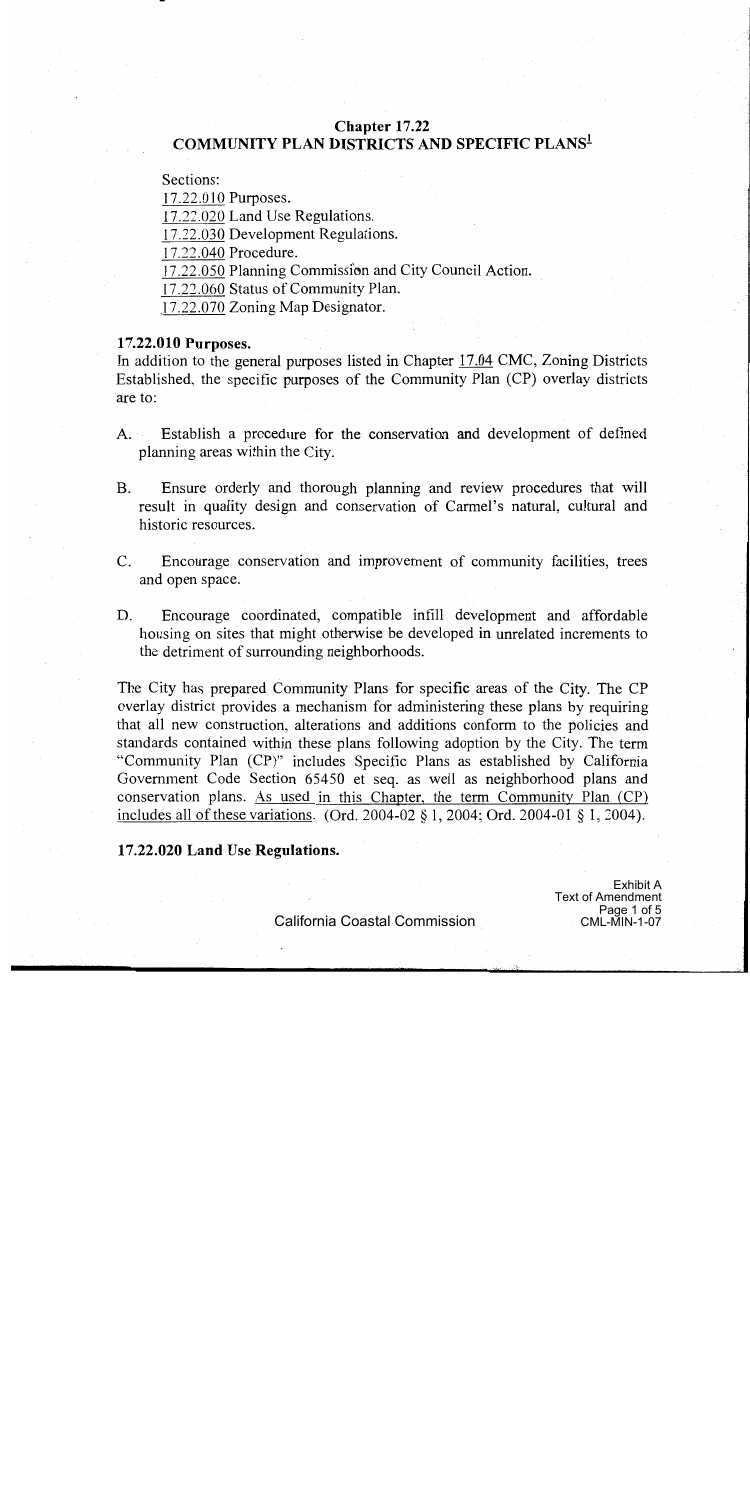# Chapter 17.22 **COMMUNITY PLAN DISTRICTS AND SPECIFIC PLANS<sup>1</sup>**

Sections:

17.22.010 Purposes.

17.22.020 Land Use Regulations.

17.22.030 Development Regulations.

17.22.040 Procedure.

17.22.050 Planning Commission and City Council Action.

17.22.060 Status of Community Plan.

17.22.070 Zoning Map Designator.

#### 17.22.010 Purposes.

In addition to the general purposes listed in Chapter 17.04 CMC, Zoning Districts Established, the specific purposes of the Community Plan (CP) overlay districts are to:

- Establish a procedure for the conservation and development of defined  $A_{\cdot}$ planning areas within the City.
- $\mathbf{B}$ . Ensure orderly and thorough planning and review procedures that will result in quality design and conservation of Carmel's natural, cultural and historic resources.
- C. Encourage conservation and improvement of community facilities, trees and open space.
- D. Encourage coordinated, compatible infill development and affordable housing on sites that might otherwise be developed in unrelated increments to the detriment of surrounding neighborhoods.

The City has prepared Community Plans for specific areas of the City. The CP overlay district provides a mechanism for administering these plans by requiring that all new construction, alterations and additions conform to the policies and standards contained within these plans following adoption by the City. The term "Community Plan (CP)" includes Specific Plans as established by California Government Code Section 65450 et seq. as well as neighborhood plans and conservation plans. As used in this Chapter, the term Community Plan (CP) includes all of these variations. (Ord. 2004-02  $\S$  1, 2004; Ord. 2004-01  $\S$  1, 2004).

#### 17.22.020 Land Use Regulations.

**Exhibit A Text of Amendment** Page 1 of 5 **CML-MIN-1-07**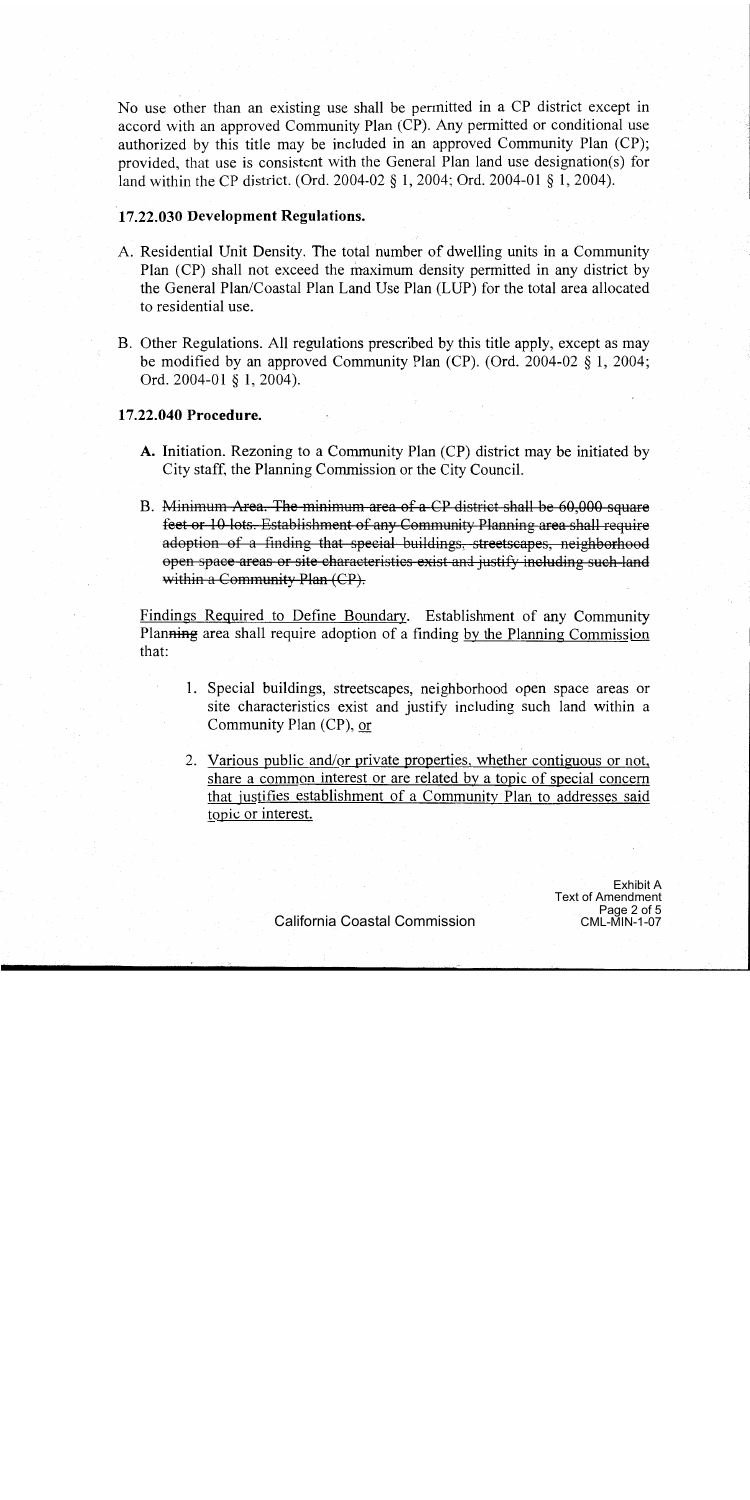No use other than an existing use shall be permitted in a CP district except in accord with an approved Community Plan (CP). Any permitted or conditional use authorized by this title may be included in an approved Community Plan (CP); provided, that use is consistent with the General Plan land use designation(s) for land within the CP district. (Ord. 2004-02 § 1, 2004; Ord. 2004-01 § 1, 2004).

#### 17.22.030 Development Regulations.

- A. Residential Unit Density. The total number of dwelling units in a Community Plan (CP) shall not exceed the maximum density permitted in any district by the General Plan/Coastal Plan Land Use Plan (LUP) for the total area allocated to residential use.
- B. Other Regulations. All regulations prescribed by this title apply, except as may be modified by an approved Community Plan (CP). (Ord. 2004-02  $\S$  1, 2004; Ord. 2004-01 § 1, 2004).

#### 17.22.040 Procedure.

- A. Initiation. Rezoning to a Community Plan (CP) district may be initiated by City staff, the Planning Commission or the City Council.
- B. Minimum Area. The minimum area of a CP district shall be 60,000 square feet or 10 lots. Establishment of any Community Planning area shall require adoption of a finding that special buildings, streetscapes, neighborhood open space areas or site characteristics exist and justify including such land within a Community Plan (CP).

Findings Required to Define Boundary. Establishment of any Community Planning area shall require adoption of a finding by the Planning Commission that:

- 1. Special buildings, streetscapes, neighborhood open space areas or site characteristics exist and justify including such land within a Community Plan (CP), or
- 2. Various public and/or private properties, whether contiguous or not, share a common interest or are related by a topic of special concern that justifies establishment of a Community Plan to addresses said topic or interest.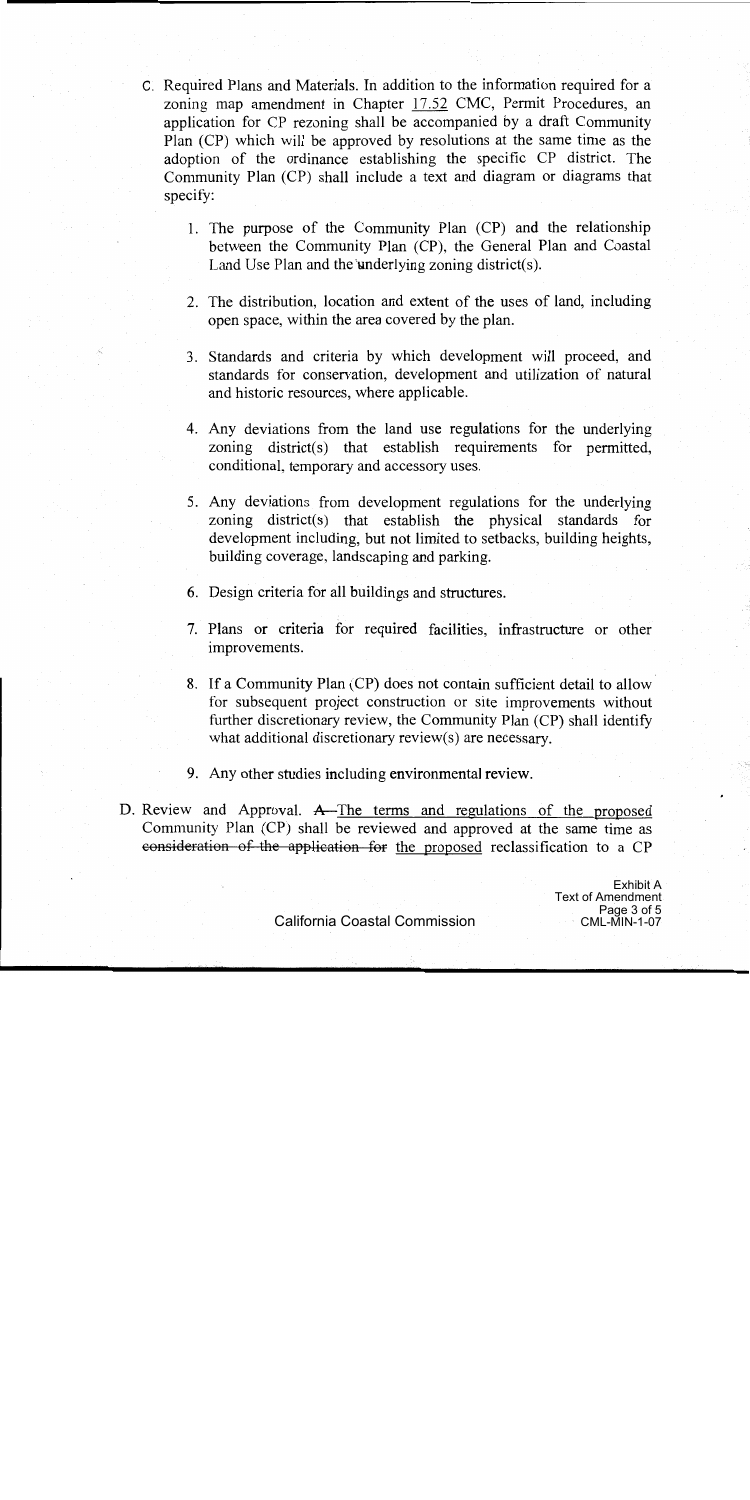- C. Required Plans and Materials. In addition to the information required for a zoning map amendment in Chapter 17.52 CMC, Permit Procedures, an application for CP rezoning shall be accompanied by a draft Community Plan (CP) which will be approved by resolutions at the same time as the adoption of the ordinance establishing the specific CP district. The Community Plan (CP) shall include a text and diagram or diagrams that specify:
	- 1. The purpose of the Community Plan (CP) and the relationship between the Community Plan (CP), the General Plan and Coastal Land Use Plan and the underlying zoning district(s).
	- 2. The distribution, location and extent of the uses of land, including open space, within the area covered by the plan.
	- 3. Standards and criteria by which development will proceed, and standards for conservation, development and utilization of natural and historic resources, where applicable.
	- 4. Any deviations from the land use regulations for the underlying zoning district(s) that establish requirements for permitted, conditional, temporary and accessory uses.
	- 5. Any deviations from development regulations for the underlying zoning district(s) that establish the physical standards for development including, but not limited to setbacks, building heights, building coverage, landscaping and parking.
	- 6. Design criteria for all buildings and structures.
	- 7. Plans or criteria for required facilities, infrastructure or other improvements.
	- 8. If a Community Plan (CP) does not contain sufficient detail to allow for subsequent project construction or site improvements without further discretionary review, the Community Plan (CP) shall identify what additional discretionary review(s) are necessary.
	- 9. Any other studies including environmental review.
- D. Review and Approval. A-The terms and regulations of the proposed Community Plan (CP) shall be reviewed and approved at the same time as consideration of the application for the proposed reclassification to a CP

Exhibit A **Text of Amendment** Page 3 of 5 **CML-MIN-1-07** 

California Coastal Commission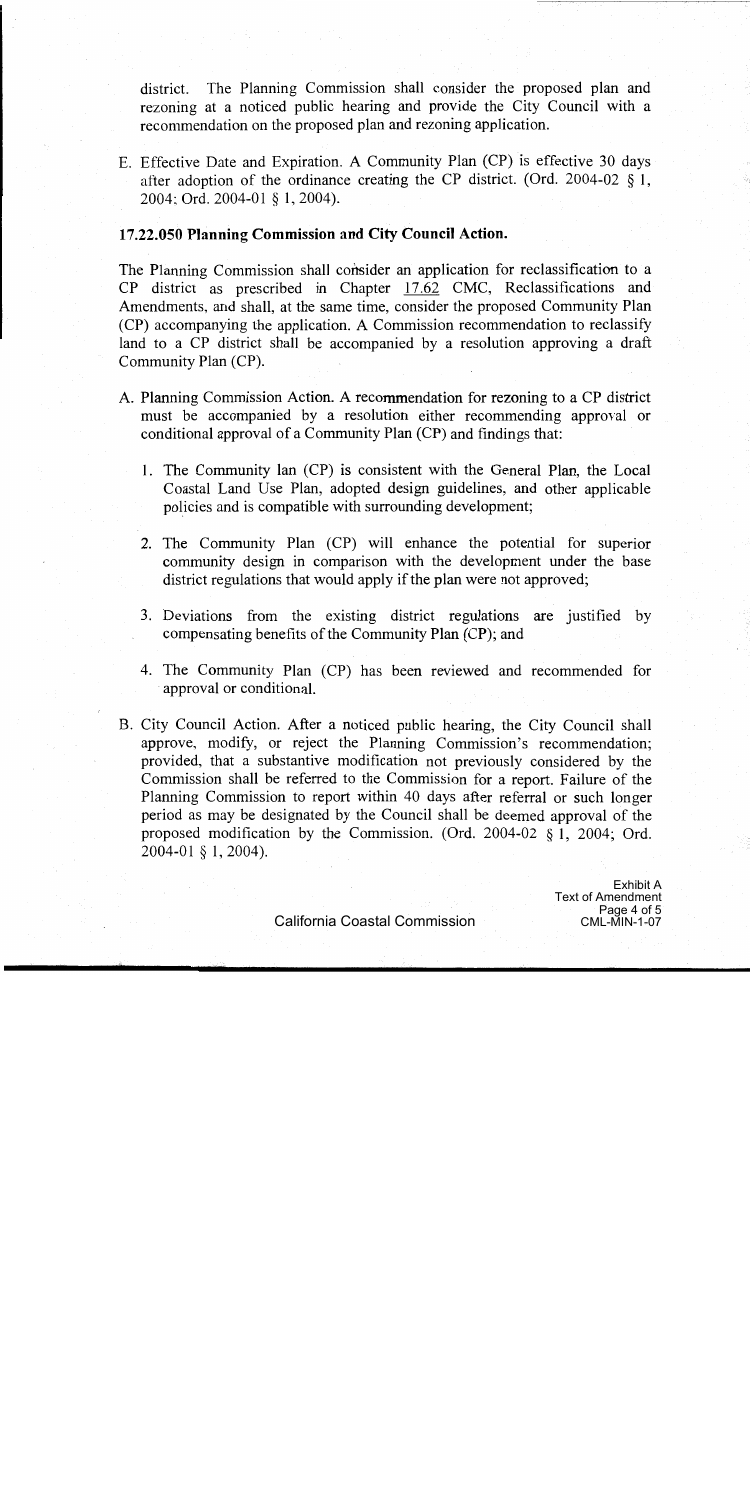district. The Planning Commission shall consider the proposed plan and rezoning at a noticed public hearing and provide the City Council with a recommendation on the proposed plan and rezoning application.

E. Effective Date and Expiration. A Community Plan (CP) is effective 30 days after adoption of the ordinance creating the CP district. (Ord. 2004-02  $\S$  1, 2004; Ord. 2004-01 § 1, 2004).

# 17.22.050 Planning Commission and City Council Action.

The Planning Commission shall consider an application for reclassification to a CP district as prescribed in Chapter 17.62 CMC, Reclassifications and Amendments, and shall, at the same time, consider the proposed Community Plan (CP) accompanying the application. A Commission recommendation to reclassify land to a CP district shall be accompanied by a resolution approving a draft Community Plan (CP).

- A. Planning Commission Action. A recommendation for rezoning to a CP district must be accompanied by a resolution either recommending approval or conditional approval of a Community Plan (CP) and findings that:
	- 1. The Community lan (CP) is consistent with the General Plan, the Local Coastal Land Use Plan, adopted design guidelines, and other applicable policies and is compatible with surrounding development;
	- 2. The Community Plan (CP) will enhance the potential for superior community design in comparison with the development under the base district regulations that would apply if the plan were not approved;
	- 3. Deviations from the existing district regulations are justified by compensating benefits of the Community Plan (CP); and
	- 4. The Community Plan (CP) has been reviewed and recommended for approval or conditional.
- B. City Council Action. After a noticed public hearing, the City Council shall approve, modify, or reject the Planning Commission's recommendation; provided, that a substantive modification not previously considered by the Commission shall be referred to the Commission for a report. Failure of the Planning Commission to report within 40 days after referral or such longer period as may be designated by the Council shall be deemed approval of the proposed modification by the Commission. (Ord.  $2004-02$  § 1, 2004; Ord. 2004-01 § 1, 2004).

**Exhibit A Text of Amendment** Page 4 of 5 **CML-MIN-1-07**